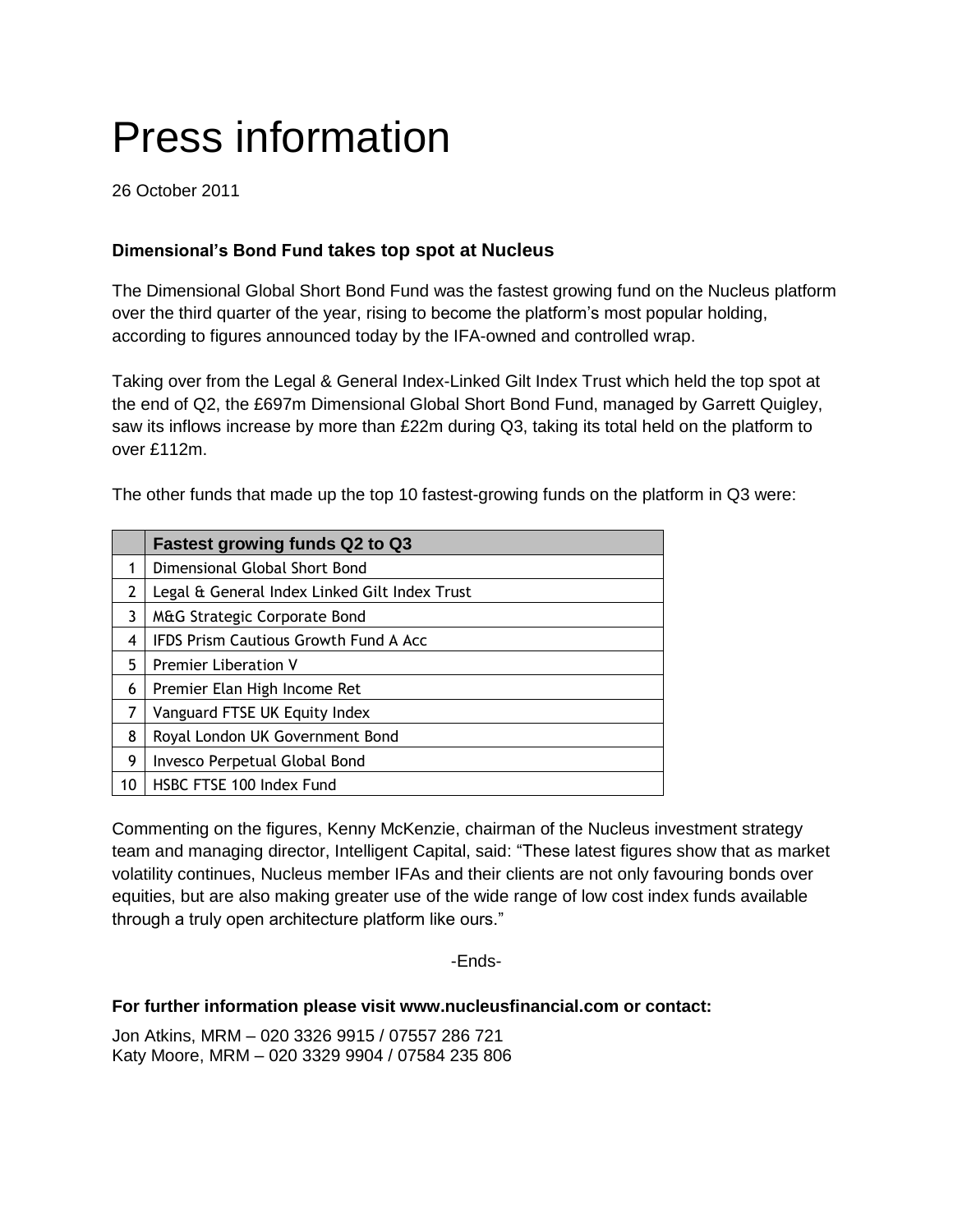# Press information

26 October 2011

## **Dimensional's Bond Fund takes top spot at Nucleus**

The Dimensional Global Short Bond Fund was the fastest growing fund on the Nucleus platform over the third quarter of the year, rising to become the platform's most popular holding, according to figures announced today by the IFA-owned and controlled wrap.

Taking over from the Legal & General Index-Linked Gilt Index Trust which held the top spot at the end of Q2, the £697m Dimensional Global Short Bond Fund, managed by Garrett Quigley, saw its inflows increase by more than £22m during Q3, taking its total held on the platform to over £112m.

The other funds that made up the top 10 fastest-growing funds on the platform in Q3 were:

|    | <b>Fastest growing funds Q2 to Q3</b>         |
|----|-----------------------------------------------|
| 1  | Dimensional Global Short Bond                 |
| 2  | Legal & General Index Linked Gilt Index Trust |
| 3  | M&G Strategic Corporate Bond                  |
| 4  | <b>IFDS Prism Cautious Growth Fund A Acc</b>  |
| 5  | <b>Premier Liberation V</b>                   |
| 6  | Premier Elan High Income Ret                  |
| 7  | Vanguard FTSE UK Equity Index                 |
| 8  | Royal London UK Government Bond               |
| 9  | Invesco Perpetual Global Bond                 |
| 10 | HSBC FTSE 100 Index Fund                      |

Commenting on the figures, Kenny McKenzie, chairman of the Nucleus investment strategy team and managing director, Intelligent Capital, said: "These latest figures show that as market volatility continues, Nucleus member IFAs and their clients are not only favouring bonds over equities, but are also making greater use of the wide range of low cost index funds available through a truly open architecture platform like ours."

-Ends-

## **For further information please visit www.nucleusfinancial.com or contact:**

Jon Atkins, MRM – 020 3326 9915 / 07557 286 721 Katy Moore, MRM – 020 3329 9904 / 07584 235 806